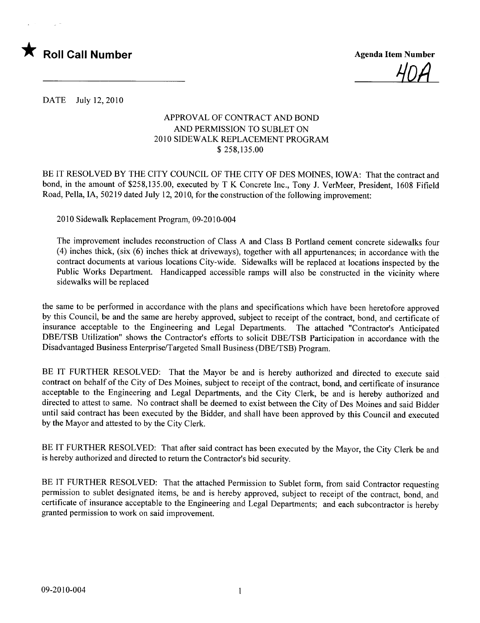

<u>HUM</u>

DATE July 12,2010

## APPROVAL OF CONTRACT AND BOND AND PERMISSION TO SUBLET ON 2010 SIDEWALK REPLACEMENT PROGRAM \$ 258,135.00

BE IT RESOLVED BY THE CITY COUNCIL OF THE CITY OF DES MOINES, IOWA: That the contract and bond, in the amount of \$258,135.00, executed by T K Concrete Inc., Tony J. VerMeer, President, 1608 Fifield Road, Pella, lA, 50219 dated July 12, 2010, for the construction of the following improvement:

2010 Sidewalk Replacement Program, 09-2010-004

The improvement includes reconstruction of Class A and Class B Portland cement concrete sidewalks four ( 4) inches thick, (six (6) inches thick at driveways), together with all appurtenances; in accordance with the contract documents at various locations City-wide. Sidewalks will be replaced at locations inspected by the Public Works Department. Handicapped accessible ramps will also be constructed in the vicinity where sidewalks will be replaced

the same to be performed in accordance with the plans and specifications which have been heretofore approved by this Council, be and the same are hereby approved, subject to receipt of the contract, bond, and certificate of insurance acceptable to the Engineering and Legal Departments. The attached "Contractor's Anticipated DBE/TSB Utilization" shows the Contractor's efforts to solicit DBE/TSB Participation in accordance with the Disadvantaged Business Enterprise/Targeted Small Business (DBE/TSB) Program.

BE IT FURTHER RESOLVED: That the Mayor be and is hereby authorized and directed to execute said contract on behalf of the City of Des Moines, subject to receipt of the contract, bond, and certificate of insurance acceptable to the Engineering and Legal Departments, and the City Clerk, be and is hereby authorized and directed to attest to same. No contract shall be deemed to exist between the City of Des Moines and said Bidder until said contract has been executed by the Bidder, and shall have been approved by this Council and executed by the Mayor and attested to by the City Clerk.

BE IT FURTHER RESOLVED: That after said contract has been executed by the Mayor, the City Clerk be and is hereby authorized and directed to return the Contractor's bid security.

BE IT FURTHER RESOLVED: That the attached Permission to Sublet form, from said Contractor requesting permission to sublet designated items, be and is hereby approved, subject to receipt of the contract, bond, and certificate of insurance acceptable to the Engineering and Legal Departments; and each subcontractor is hereby granted permission to work on said improvement.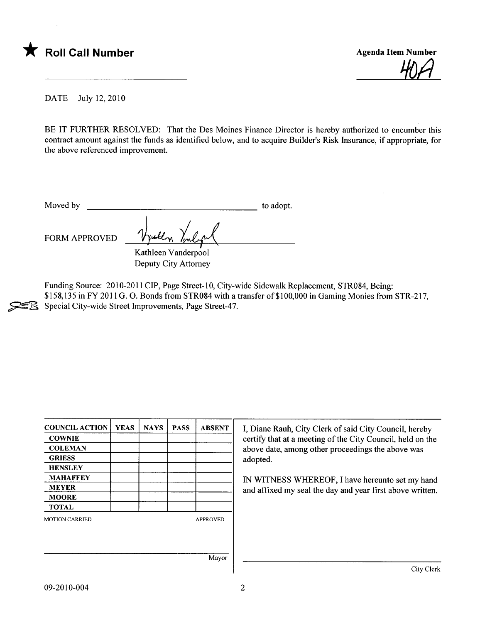



DATE July 12,2010

BE IT FURTHER RESOLVED: That the Des Moines Finance Director is hereby authorized to encumber this contract amount against the funds as identified below, and to acquire Builder's Risk Insurance, if appropriate, for the above referenced improvement.

Moved by to adopt.

FORM APPROVED

Vyully Vinlyn Deputy City Attorney

Funding Source: 2010-2011 CIP, Page Street-10, City-wide Sidewalk Replacement, STR084, Being: \$158,135 in FY 2011 G. O. Bonds from STR084 with a transfer of\$ <sup>1</sup>00,000 in Gaming Monies from STR-217, Special City-wide Street Improvements, Page Street-47.

| <b>COUNCIL ACTION</b> | <b>YEAS</b> | <b>NAYS</b> | <b>PASS</b> | <b>ABSENT</b>   | I, Diane Rauh,                                  |
|-----------------------|-------------|-------------|-------------|-----------------|-------------------------------------------------|
| <b>COWNIE</b>         |             |             |             |                 | certify that at a<br>above date, am<br>adopted. |
| <b>COLEMAN</b>        |             |             |             |                 |                                                 |
| <b>GRIESS</b>         |             |             |             |                 |                                                 |
| <b>HENSLEY</b>        |             |             |             |                 |                                                 |
| <b>MAHAFFEY</b>       |             |             |             |                 | IN WITNESS                                      |
| <b>MEYER</b>          |             |             |             |                 | and affixed my                                  |
| <b>MOORE</b>          |             |             |             |                 |                                                 |
| <b>TOTAL</b>          |             |             |             |                 |                                                 |
| <b>MOTION CARRIED</b> |             |             |             | <b>APPROVED</b> |                                                 |
|                       |             |             |             |                 |                                                 |
|                       |             |             |             | Mayor           |                                                 |
|                       |             |             |             |                 |                                                 |

City Clerk of said City Council, hereby meeting of the City Council, held on the ong other proceedings the above was

WHEREOF, I have hereunto set my hand seal the day and year first above written.